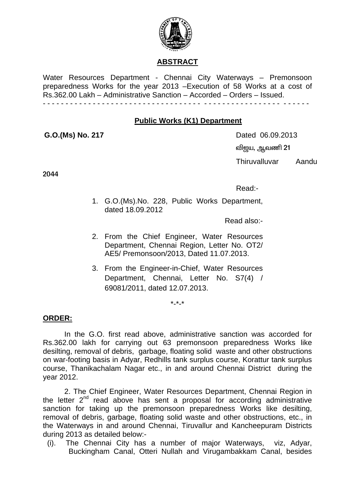

### **ABSTRACT**

Water Resources Department - Chennai City Waterways – Premonsoon preparedness Works for the year 2013 –Execution of 58 Works at a cost of Rs.362.00 Lakh – Administrative Sanction – Accorded – Orders – Issued. - - - - - - - - - - - - - - - - - - - - - - - - - - - - - - - - - - - - - - - - - - - - - - - - - - - - - - - - - -

#### **Public Works (K1) Department**

**G.O.(Ms) No. 217 Dated 06.09.2013 வி**ஜய, ஆவணி 21 Thiruvalluvar Aandu

2044

Read:-

1. G.O.(Ms).No. 228, Public Works Department, dated 18.09.2012

Read also:-

- 2. From the Chief Engineer, Water Resources Department, Chennai Region, Letter No. OT2/ AE5/ Premonsoon/2013, Dated 11.07.2013.
- 3. From the Engineer-in-Chief, Water Resources Department, Chennai, Letter No. S7(4) / 69081/2011, dated 12.07.2013.

 $*_{-}*_{-}*$ 

### **ORDER:**

In the G.O. first read above, administrative sanction was accorded for Rs.362.00 lakh for carrying out 63 premonsoon preparedness Works like desilting, removal of debris, garbage, floating solid waste and other obstructions on war-footing basis in Adyar, Redhills tank surplus course, Korattur tank surplus course, Thanikachalam Nagar etc., in and around Chennai District during the year 2012.

2. The Chief Engineer, Water Resources Department, Chennai Region in the letter  $2^{nd}$  read above has sent a proposal for according administrative sanction for taking up the premonsoon preparedness Works like desilting, removal of debris, garbage, floating solid waste and other obstructions, etc., in the Waterways in and around Chennai, Tiruvallur and Kancheepuram Districts during 2013 as detailed below:-

(i). The Chennai City has a number of major Waterways, viz, Adyar, Buckingham Canal, Otteri Nullah and Virugambakkam Canal, besides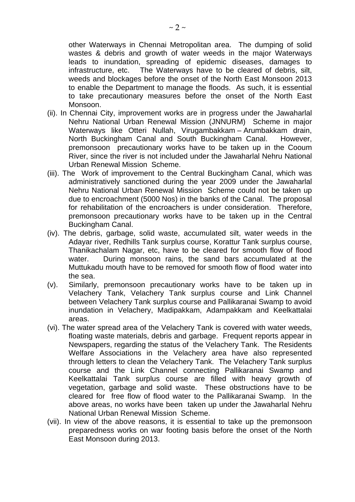other Waterways in Chennai Metropolitan area. The dumping of solid wastes & debris and growth of water weeds in the major Waterways leads to inundation, spreading of epidemic diseases, damages to infrastructure, etc. The Waterways have to be cleared of debris, silt, weeds and blockages before the onset of the North East Monsoon 2013 to enable the Department to manage the floods. As such, it is essential to take precautionary measures before the onset of the North East Monsoon.

- (ii). In Chennai City, improvement works are in progress under the Jawaharlal Nehru National Urban Renewal Mission (JNNURM) Scheme in major Waterways like Otteri Nullah, Virugambakkam – Arumbakkam drain, North Buckingham Canal and South Buckingham Canal. However, premonsoon precautionary works have to be taken up in the Cooum River, since the river is not included under the Jawaharlal Nehru National Urban Renewal Mission Scheme.
- (iii). The Work of improvement to the Central Buckingham Canal, which was administratively sanctioned during the year 2009 under the Jawaharlal Nehru National Urban Renewal Mission Scheme could not be taken up due to encroachment (5000 Nos) in the banks of the Canal. The proposal for rehabilitation of the encroachers is under consideration. Therefore, premonsoon precautionary works have to be taken up in the Central Buckingham Canal.
- (iv). The debris, garbage, solid waste, accumulated silt, water weeds in the Adayar river, Redhills Tank surplus course, Korattur Tank surplus course, Thanikachalam Nagar, etc, have to be cleared for smooth flow of flood water. During monsoon rains, the sand bars accumulated at the Muttukadu mouth have to be removed for smooth flow of flood water into the sea.
- (v). Similarly, premonsoon precautionary works have to be taken up in Velachery Tank, Velachery Tank surplus course and Link Channel between Velachery Tank surplus course and Pallikaranai Swamp to avoid inundation in Velachery, Madipakkam, Adampakkam and Keelkattalai areas.
- (vi). The water spread area of the Velachery Tank is covered with water weeds, floating waste materials, debris and garbage. Frequent reports appear in Newspapers, regarding the status of the Velachery Tank. The Residents Welfare Associations in the Velachery area have also represented through letters to clean the Velachery Tank. The Velachery Tank surplus course and the Link Channel connecting Pallikaranai Swamp and Keelkattalai Tank surplus course are filled with heavy growth of vegetation, garbage and solid waste. These obstructions have to be cleared for free flow of flood water to the Pallikaranai Swamp. In the above areas, no works have been taken up under the Jawaharlal Nehru National Urban Renewal Mission Scheme.
- (vii). In view of the above reasons, it is essential to take up the premonsoon preparedness works on war footing basis before the onset of the North East Monsoon during 2013.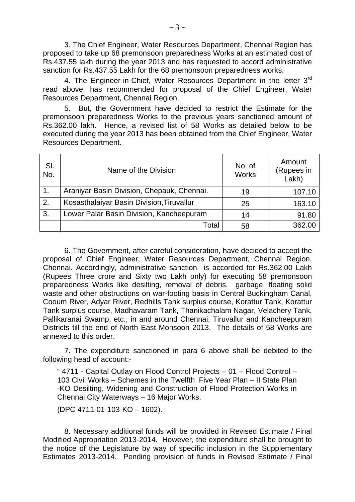3. The Chief Engineer, Water Resources Department, Chennai Region has proposed to take up 68 premonsoon preparedness Works at an estimated cost of Rs.437.55 lakh during the year 2013 and has requested to accord administrative sanction for Rs.437.55 Lakh for the 68 premonsoon preparedness works.

4. The Engineer-in-Chief, Water Resources Department in the letter 3rd read above, has recommended for proposal of the Chief Engineer, Water Resources Department, Chennai Region.

5. But, the Government have decided to restrict the Estimate for the premonsoon preparedness Works to the previous years sanctioned amount of Rs.362.00 lakh. Hence, a revised list of 58 Works as detailed below to be executed during the year 2013 has been obtained from the Chief Engineer, Water Resources Department.

| SI.<br>No. | Name of the Division                       | No. of<br><b>Works</b> | Amount<br>(Rupees in<br>Lakh) |
|------------|--------------------------------------------|------------------------|-------------------------------|
|            | Araniyar Basin Division, Chepauk, Chennai. | 19                     | 107.10                        |
| 2.         | Kosasthalaiyar Basin Division, Tiruvallur  | 25                     | 163.10                        |
| 3.         | Lower Palar Basin Division, Kancheepuram   | 14                     | 91.80                         |
|            | Total                                      | 58                     | 362.00                        |

6. The Government, after careful consideration, have decided to accept the proposal of Chief Engineer, Water Resources Department, Chennai Region, Chennai. Accordingly, administrative sanction is accorded for Rs.362.00 Lakh (Rupees Three crore and Sixty two Lakh only) for executing 58 premonsoon preparedness Works like desilting, removal of debris, garbage, floating solid waste and other obstructions on war-footing basis in Central Buckingham Canal, Cooum River, Adyar River, Redhills Tank surplus course, Korattur Tank, Korattur Tank surplus course, Madhavaram Tank, Thanikachalam Nagar, Velachery Tank, Pallikaranai Swamp, etc., in and around Chennai, Tiruvallur and Kancheepuram Districts till the end of North East Monsoon 2013. The details of 58 Works are annexed to this order.

7. The expenditure sanctioned in para 6 above shall be debited to the following head of account:-

" 4711 - Capital Outlay on Flood Control Projects – 01 – Flood Control – 103 Civil Works – Schemes in the Twelfth Five Year Plan – II State Plan -KO Desilting, Widening and Construction of Flood Protection Works in Chennai City Waterways – 16 Major Works.

(DPC 4711-01-103-KO – 1602).

8. Necessary additional funds will be provided in Revised Estimate / Final Modified Appropriation 2013-2014. However, the expenditure shall be brought to the notice of the Legislature by way of specific inclusion in the Supplementary Estimates 2013-2014. Pending provision of funds in Revised Estimate / Final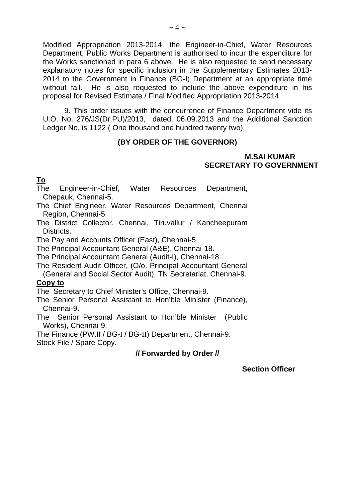Modified Appropriation 2013-2014, the Engineer-in-Chief, Water Resources Department, Public Works Department is authorised to incur the expenditure for the Works sanctioned in para 6 above. He is also requested to send necessary explanatory notes for specific inclusion in the Supplementary Estimates 2013- 2014 to the Government in Finance (BG-I) Department at an appropriate time without fail. He is also requested to include the above expenditure in his proposal for Revised Estimate / Final Modified Appropriation 2013-2014.

9. This order issues with the concurrence of Finance Department vide its U.O. No. 276/JS(Dr.PU)/2013, dated. 06.09.2013 and the Additional Sanction Ledger No. is 1122 ( One thousand one hundred twenty two).

## **(BY ORDER OF THE GOVERNOR)**

#### **M.SAI KUMAR SECRETARY TO GOVERNMENT**

**To**

The Engineer-in-Chief, Water Resources Department, Chepauk, Chennai-5.

The Chief Engineer, Water Resources Department, Chennai Region, Chennai-5.

The District Collector, Chennai, Tiruvallur / Kancheepuram Districts.

The Pay and Accounts Officer (East), Chennai-5.

The Principal Accountant General (A&E), Chennai-18.

The Principal Accountant General (Audit-I), Chennai-18.

The Resident Audit Officer, (O/o. Principal Accountant General (General and Social Sector Audit), TN Secretariat, Chennai-9.

#### **Copy to**

The Secretary to Chief Minister's Office, Chennai-9.

The Senior Personal Assistant to Hon'ble Minister (Finance), Chennai-9.

The Senior Personal Assistant to Hon'ble Minister (Public Works), Chennai-9.

The Finance (PW.II / BG-I / BG-II) Department, Chennai-9. Stock File / Spare Copy.

## **// Forwarded by Order //**

**Section Officer**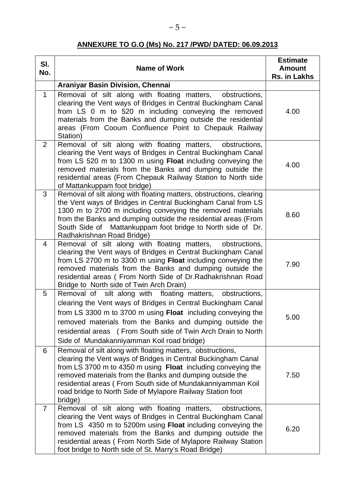# **ANNEXURE TO G.O (Ms) No. 217 /PWD/ DATED: 06.09.2013**

| SI.<br>No.     | <b>Name of Work</b>                                                                                                                                                                                                                                                                                                                                                                             | <b>Estimate</b><br><b>Amount</b><br>Rs. in Lakhs |
|----------------|-------------------------------------------------------------------------------------------------------------------------------------------------------------------------------------------------------------------------------------------------------------------------------------------------------------------------------------------------------------------------------------------------|--------------------------------------------------|
|                | <b>Araniyar Basin Division, Chennai</b>                                                                                                                                                                                                                                                                                                                                                         |                                                  |
| $\mathbf{1}$   | Removal of silt along with floating matters,<br>obstructions,<br>clearing the Vent ways of Bridges in Central Buckingham Canal<br>from LS 0 m to 520 m including conveying the removed<br>materials from the Banks and dumping outside the residential<br>areas (From Cooum Confluence Point to Chepauk Railway<br>Station)                                                                     | 4.00                                             |
| 2              | Removal of silt along with floating matters, obstructions,<br>clearing the Vent ways of Bridges in Central Buckingham Canal<br>from LS 520 m to 1300 m using Float including conveying the<br>removed materials from the Banks and dumping outside the<br>residential areas (From Chepauk Railway Station to North side<br>of Mattankuppam foot bridge)                                         | 4.00                                             |
| 3              | Removal of silt along with floating matters, obstructions, clearing<br>the Vent ways of Bridges in Central Buckingham Canal from LS<br>1300 m to 2700 m including conveying the removed materials<br>from the Banks and dumping outside the residential areas (From<br>South Side of Mattankuppam foot bridge to North side of Dr.<br>Radhakrishnan Road Bridge)                                | 8.60                                             |
| 4              | Removal of silt along with floating matters,<br>obstructions,<br>clearing the Vent ways of Bridges in Central Buckingham Canal<br>from LS 2700 m to 3300 m using Float including conveying the<br>removed materials from the Banks and dumping outside the<br>residential areas (From North Side of Dr. Radhakrishnan Road<br>Bridge to North side of Twin Arch Drain)                          | 7.90                                             |
| 5              | Removal of<br>silt along with floating matters, obstructions,<br>clearing the Vent ways of Bridges in Central Buckingham Canal<br>from LS 3300 m to 3700 m using Float including conveying the<br>removed materials from the Banks and dumping outside the<br>residential areas (From South side of Twin Arch Drain to North<br>Side of Mundakanniyamman Koil road bridge)                      | 5.00                                             |
| 6              | Removal of silt along with floating matters, obstructions,<br>clearing the Vent ways of Bridges in Central Buckingham Canal<br>from LS 3700 m to 4350 m using Float including conveying the<br>removed materials from the Banks and dumping outside the<br>residential areas (From South side of Mundakanniyamman Koil<br>road bridge to North Side of Mylapore Railway Station foot<br>bridge) | 7.50                                             |
| $\overline{7}$ | Removal of silt along with floating matters,<br>obstructions,<br>clearing the Vent ways of Bridges in Central Buckingham Canal<br>from LS 4350 m to 5200m using Float including conveying the<br>removed materials from the Banks and dumping outside the<br>residential areas (From North Side of Mylapore Railway Station<br>foot bridge to North side of St. Marry's Road Bridge)            | 6.20                                             |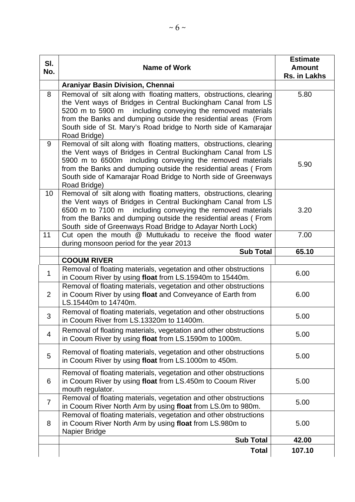| SI.<br>No.     | <b>Name of Work</b>                                                                                                                                                                                                                                                                                                                                    | <b>Estimate</b><br><b>Amount</b><br>Rs. in Lakhs |
|----------------|--------------------------------------------------------------------------------------------------------------------------------------------------------------------------------------------------------------------------------------------------------------------------------------------------------------------------------------------------------|--------------------------------------------------|
|                | <b>Araniyar Basin Division, Chennai</b>                                                                                                                                                                                                                                                                                                                |                                                  |
| 8              | Removal of silt along with floating matters, obstructions, clearing<br>the Vent ways of Bridges in Central Buckingham Canal from LS<br>5200 m to 5900 m including conveying the removed materials<br>from the Banks and dumping outside the residential areas (From<br>South side of St. Mary's Road bridge to North side of Kamarajar<br>Road Bridge) | 5.80                                             |
| 9              | Removal of silt along with floating matters, obstructions, clearing<br>the Vent ways of Bridges in Central Buckingham Canal from LS<br>5900 m to 6500m including conveying the removed materials<br>from the Banks and dumping outside the residential areas (From<br>South side of Kamarajar Road Bridge to North side of Greenways<br>Road Bridge)   | 5.90                                             |
| 10             | Removal of silt along with floating matters, obstructions, clearing<br>the Vent ways of Bridges in Central Buckingham Canal from LS<br>6500 m to 7100 m including conveying the removed materials<br>from the Banks and dumping outside the residential areas (From<br>South side of Greenways Road Bridge to Adayar North Lock)                       | 3.20                                             |
| 11             | Cut open the mouth @ Muttukadu to receive the flood water<br>during monsoon period for the year 2013                                                                                                                                                                                                                                                   | 7.00                                             |
|                | <b>Sub Total</b>                                                                                                                                                                                                                                                                                                                                       | 65.10                                            |
|                | <b>COOUM RIVER</b>                                                                                                                                                                                                                                                                                                                                     |                                                  |
| $\mathbf{1}$   | Removal of floating materials, vegetation and other obstructions<br>in Cooum River by using float from LS.15940m to 15440m.                                                                                                                                                                                                                            | 6.00                                             |
| $\overline{2}$ | Removal of floating materials, vegetation and other obstructions<br>in Cooum River by using float and Conveyance of Earth from<br>LS.15440m to 14740m.                                                                                                                                                                                                 | 6.00                                             |
| 3              | Removal of floating materials, vegetation and other obstructions<br>in Cooum River from LS.13320m to 11400m.                                                                                                                                                                                                                                           | 5.00                                             |
| 4              | Removal of floating materials, vegetation and other obstructions<br>in Cooum River by using float from LS.1590m to 1000m.                                                                                                                                                                                                                              | 5.00                                             |
| 5              | Removal of floating materials, vegetation and other obstructions<br>in Cooum River by using float from LS.1000m to 450m.                                                                                                                                                                                                                               | 5.00                                             |
| 6              | Removal of floating materials, vegetation and other obstructions<br>in Cooum River by using float from LS.450m to Cooum River<br>mouth regulator.                                                                                                                                                                                                      | 5.00                                             |
| $\overline{7}$ | Removal of floating materials, vegetation and other obstructions<br>in Cooum River North Arm by using float from LS.0m to 980m.                                                                                                                                                                                                                        | 5.00                                             |
| 8              | Removal of floating materials, vegetation and other obstructions<br>in Cooum River North Arm by using float from LS.980m to<br>Napier Bridge                                                                                                                                                                                                           | 5.00                                             |
|                | <b>Sub Total</b>                                                                                                                                                                                                                                                                                                                                       | 42.00                                            |
|                | <b>Total</b>                                                                                                                                                                                                                                                                                                                                           | 107.10                                           |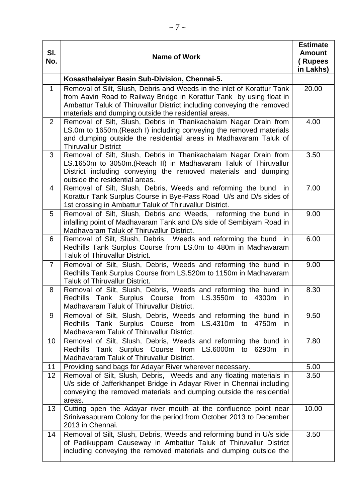| SI.<br>No.      | <b>Name of Work</b>                                                                                                                                                                                                                                                              | <b>Estimate</b><br><b>Amount</b><br>(Rupees<br>in Lakhs) |
|-----------------|----------------------------------------------------------------------------------------------------------------------------------------------------------------------------------------------------------------------------------------------------------------------------------|----------------------------------------------------------|
|                 | Kosasthalaiyar Basin Sub-Division, Chennai-5.                                                                                                                                                                                                                                    |                                                          |
| $\mathbf{1}$    | Removal of Silt, Slush, Debris and Weeds in the inlet of Korattur Tank<br>from Aavin Road to Railway Bridge in Korattur Tank by using float in<br>Ambattur Taluk of Thiruvallur District including conveying the removed<br>materials and dumping outside the residential areas. |                                                          |
| $\overline{2}$  | Removal of Silt, Slush, Debris in Thanikachalam Nagar Drain from<br>LS.0m to 1650m. (Reach I) including conveying the removed materials<br>and dumping outside the residential areas in Madhavaram Taluk of<br><b>Thiruvallur District</b>                                       | 4.00                                                     |
| 3               | Removal of Silt, Slush, Debris in Thanikachalam Nagar Drain from<br>LS.1650m to 3050m.(Reach II) in Madhavaram Taluk of Thiruvallur<br>District including conveying the removed materials and dumping<br>outside the residential areas.                                          | 3.50                                                     |
| $\overline{4}$  | Removal of Silt, Slush, Debris, Weeds and reforming the bund<br>in<br>Korattur Tank Surplus Course in Bye-Pass Road U/s and D/s sides of<br>1st crossing in Ambattur Taluk of Thiruvallur District.                                                                              | 7.00                                                     |
| 5               | Removal of Silt, Slush, Debris and Weeds, reforming the bund in<br>infalling point of Madhavaram Tank and D/s side of Sembiyam Road in<br>Madhavaram Taluk of Thiruvallur District.                                                                                              | 9.00                                                     |
| 6               | Removal of Silt, Slush, Debris, Weeds and reforming the bund<br>in<br>Redhills Tank Surplus Course from LS.0m to 480m in Madhavaram<br>Taluk of Thiruvallur District.                                                                                                            | 6.00                                                     |
| $\overline{7}$  | Removal of Silt, Slush, Debris, Weeds and reforming the bund in<br>Redhills Tank Surplus Course from LS.520m to 1150m in Madhavaram<br><b>Taluk of Thiruvallur District.</b>                                                                                                     | 9.00                                                     |
| 8               | Removal of Silt, Slush, Debris, Weeds and reforming the bund in<br>Redhills Tank Surplus Course from LS.3550m to 4300m<br>in.<br>Madhavaram Taluk of Thiruvallur District.                                                                                                       | 8.30                                                     |
| 9               | Removal of Silt, Slush, Debris, Weeds and reforming the bund in<br>Redhills Tank Surplus Course from LS.4310m to 4750m<br>in.<br>Madhavaram Taluk of Thiruvallur District.                                                                                                       | 9.50                                                     |
| 10 <sup>°</sup> | Removal of Silt, Slush, Debris, Weeds and reforming the bund in<br>Redhills Tank Surplus Course from LS.6000m to 6290m<br>in.<br>Madhavaram Taluk of Thiruvallur District.                                                                                                       | 7.80                                                     |
| 11              | Providing sand bags for Adayar River wherever necessary.                                                                                                                                                                                                                         | 5.00                                                     |
| 12              | Removal of Silt, Slush, Debris, Weeds and any floating materials in<br>U/s side of Jafferkhanpet Bridge in Adayar River in Chennai including<br>conveying the removed materials and dumping outside the residential<br>areas.                                                    | 3.50                                                     |
| 13              | Cutting open the Adayar river mouth at the confluence point near<br>Srinivasapuram Colony for the period from October 2013 to December<br>2013 in Chennai.                                                                                                                       | 10.00                                                    |
| 14              | Removal of Silt, Slush, Debris, Weeds and reforming bund in U/s side<br>of Padikuppam Causeway in Ambattur Taluk of Thiruvallur District<br>including conveying the removed materials and dumping outside the                                                                    | 3.50                                                     |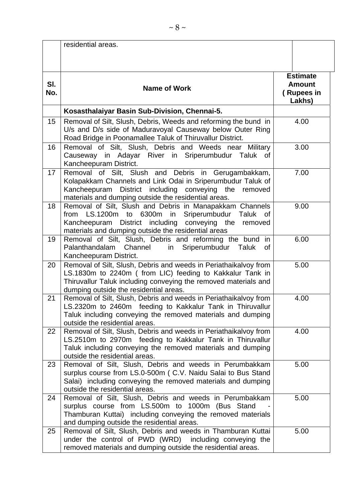|            | residential areas.                                                                                                                                                                                                                        |                                                          |
|------------|-------------------------------------------------------------------------------------------------------------------------------------------------------------------------------------------------------------------------------------------|----------------------------------------------------------|
|            |                                                                                                                                                                                                                                           |                                                          |
| SI.<br>No. | <b>Name of Work</b>                                                                                                                                                                                                                       | <b>Estimate</b><br><b>Amount</b><br>(Rupees in<br>Lakhs) |
|            | Kosasthalaiyar Basin Sub-Division, Chennai-5.                                                                                                                                                                                             |                                                          |
| 15         | Removal of Silt, Slush, Debris, Weeds and reforming the bund in<br>U/s and D/s side of Maduravoyal Causeway below Outer Ring<br>Road Bridge in Poonamallee Taluk of Thiruvallur District.                                                 | 4.00                                                     |
| 16         | Removal of Silt, Slush, Debris and Weeds near Military<br>Causeway in Adayar River in Sriperumbudur Taluk of<br>Kancheepuram District.                                                                                                    | 3.00                                                     |
| 17         | Removal of Silt, Slush and Debris in Gerugambakkam,<br>Kolapakkam Channels and Link Odai in Sriperumbudur Taluk of<br>Kancheepuram<br>District including conveying the removed<br>materials and dumping outside the residential areas.    | 7.00                                                     |
| 18         | Removal of Silt, Slush and Debris in Manapakkam Channels<br>from LS.1200m to 6300m<br>in<br>Sriperumbudur Taluk<br>of<br>Kancheepuram District including conveying the removed<br>materials and dumping outside the residential areas     | 9.00                                                     |
| 19         | Removal of Silt, Slush, Debris and reforming the bund in<br>Palanthandalam<br>Channel<br>Sriperumbudur<br>Taluk<br>in<br>0f<br>Kancheepuram District.                                                                                     | 6.00                                                     |
| 20         | Removal of Silt, Slush, Debris and weeds in Periathaikalvoy from<br>LS.1830m to 2240m (from LIC) feeding to Kakkalur Tank in<br>Thiruvallur Taluk including conveying the removed materials and<br>dumping outside the residential areas. | 5.00                                                     |
| 21         | Removal of Silt, Slush, Debris and weeds in Periathaikalvoy from<br>LS.2320m to 2460m feeding to Kakkalur Tank in Thiruvallur<br>Taluk including conveying the removed materials and dumping<br>outside the residential areas.            | 4.00                                                     |
| 22         | Removal of Silt, Slush, Debris and weeds in Periathaikalvoy from<br>LS.2510m to 2970m feeding to Kakkalur Tank in Thiruvallur<br>Taluk including conveying the removed materials and dumping<br>outside the residential areas.            | 4.00                                                     |
| 23         | Removal of Silt, Slush, Debris and weeds in Perumbakkam<br>surplus course from LS.0-500m (C.V. Naidu Salai to Bus Stand<br>Salai) including conveying the removed materials and dumping<br>outside the residential areas.                 | 5.00                                                     |
| 24         | Removal of Silt, Slush, Debris and weeds in Perumbakkam<br>surplus course from LS.500m to 1000m (Bus Stand<br>Thamburan Kuttai) including conveying the removed materials<br>and dumping outside the residential areas.                   | 5.00                                                     |
| 25         | Removal of Silt, Slush, Debris and weeds in Thamburan Kuttai<br>under the control of PWD (WRD) including conveying the<br>removed materials and dumping outside the residential areas.                                                    | 5.00                                                     |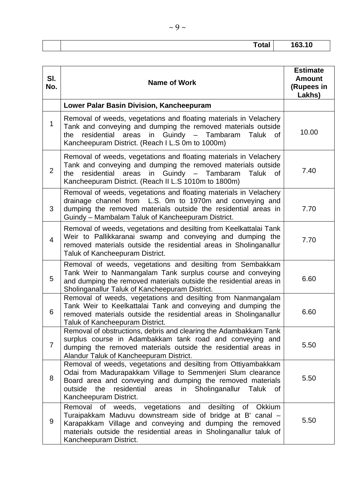| <u>i vuu</u> | <u>nn An</u><br>. v |
|--------------|---------------------|

| SI.<br>No.     | <b>Name of Work</b>                                                                                                                                                                                                                                                                                 | <b>Estimate</b><br><b>Amount</b><br>(Rupees in<br>Lakhs) |
|----------------|-----------------------------------------------------------------------------------------------------------------------------------------------------------------------------------------------------------------------------------------------------------------------------------------------------|----------------------------------------------------------|
|                | Lower Palar Basin Division, Kancheepuram                                                                                                                                                                                                                                                            |                                                          |
| $\mathbf{1}$   | Removal of weeds, vegetations and floating materials in Velachery<br>Tank and conveying and dumping the removed materials outside<br>residential areas in Guindy - Tambaram<br>Taluk<br>of<br>the<br>Kancheepuram District. (Reach I L.S 0m to 1000m)                                               | 10.00                                                    |
| $\overline{2}$ | Removal of weeds, vegetations and floating materials in Velachery<br>Tank and conveying and dumping the removed materials outside<br>residential areas in Guindy - Tambaram<br>the<br>Taluk of<br>Kancheepuram District. (Reach II L.S 1010m to 1800m)                                              | 7.40                                                     |
| 3              | Removal of weeds, vegetations and floating materials in Velachery<br>drainage channel from L.S. 0m to 1970m and conveying and<br>dumping the removed materials outside the residential areas in<br>Guindy - Mambalam Taluk of Kancheepuram District.                                                | 7.70                                                     |
| $\overline{4}$ | Removal of weeds, vegetations and desilting from Keelkattalai Tank<br>Weir to Pallikkaranai swamp and conveying and dumping the<br>removed materials outside the residential areas in Sholinganallur<br>Taluk of Kancheepuram District.                                                             | 7.70                                                     |
| 5              | Removal of weeds, vegetations and desilting from Sembakkam<br>Tank Weir to Nanmangalam Tank surplus course and conveying<br>and dumping the removed materials outside the residential areas in<br>Sholinganallur Taluk of Kancheepuram District.                                                    | 6.60                                                     |
| 6              | Removal of weeds, vegetations and desilting from Nanmangalam<br>Tank Weir to Keelkattalai Tank and conveying and dumping the<br>removed materials outside the residential areas in Sholinganallur<br>Taluk of Kancheepuram District.                                                                | 6.60                                                     |
| $\overline{7}$ | Removal of obstructions, debris and clearing the Adambakkam Tank<br>surplus course in Adambakkam tank road and conveying and<br>dumping the removed materials outside the residential areas in<br>Alandur Taluk of Kancheepuram District.                                                           | 5.50                                                     |
| 8              | Removal of weeds, vegetations and desilting from Ottiyambakkam<br>Odai from Madurapakkam Village to Semmenjeri Slum clearance<br>Board area and conveying and dumping the removed materials<br>Sholinganallur Taluk<br>outside<br>the<br>residential<br>areas<br>in<br>0f<br>Kancheepuram District. | 5.50                                                     |
| 9              | Removal of weeds, vegetations and desilting<br><b>Okkium</b><br>of<br>Turaipakkam Maduvu downstream side of bridge at B' canal -<br>Karapakkam Village and conveying and dumping the removed<br>materials outside the residential areas in Sholinganallur taluk of<br>Kancheepuram District.        | 5.50                                                     |